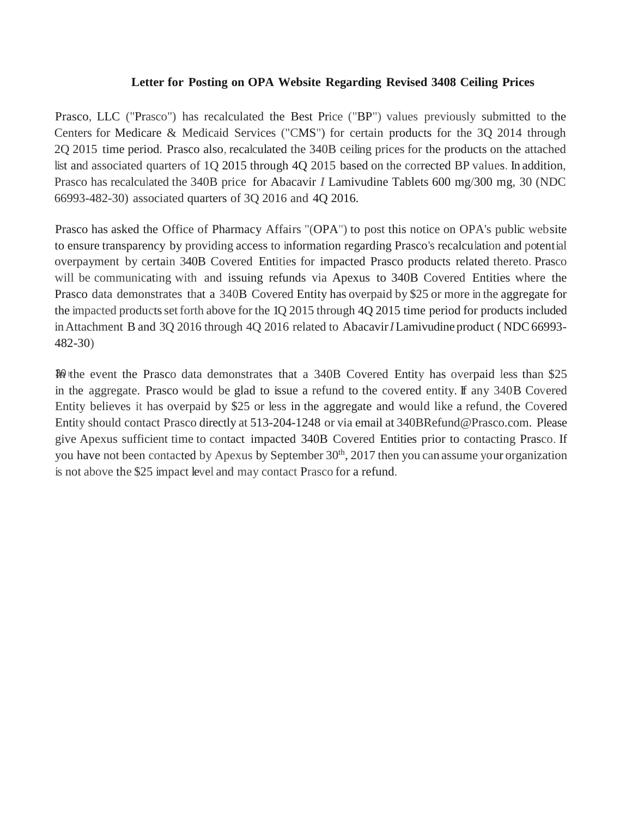## **Letter for Posting on OPA Website Regarding Revised 3408 Ceiling Prices**

Prasco, LLC ("Prasco") has recalculated the Best Price ("BP") values previously submitted to the Centers for Medicare & Medicaid Services ("CMS") for certain products for the 3Q 2014 through 2Q 2015 time period. Prasco also, recalculated the 340B ceiling prices for the products on the attached list and associated quarters of 1Q 2015 through 4Q 2015 based on the corrected BP values. In addition, Prasco has recalculated the 340B price for Abacavir *I* Lamivudine Tablets 600 mg/300 mg, 30 (NDC 66993-482-30) associated quarters of 3Q 2016 and 4Q 2016.

Prasco has asked the Office of Pharmacy Affairs "(OPA") to post this notice on OPA's public website to ensure transparency by providing access to information regarding Prasco's recalculation and potential overpayment by certain 340B Covered Entities for impacted Prasco products related thereto. Prasco will be communicating with and issuing refunds via Apexus to 340B Covered Entities where the Prasco data demonstrates that a 340B Covered Entity has overpaid by \$25 or more in the aggregate for the impacted products set forth above for the 1Q 2015 through 4Q 2015 time period for products included inAttachment B and 3Q 2016 through 4Q 2016 related to Abacavir*I*Lamivudine product ( NDC66993- 482-30)

30 h In the event the Prasco data demonstrates that a 340B Covered Entity has overpaid less than \$25 in the aggregate. Prasco would be glad to issue a refund to the covered entity. If any 340B Covered Entity believes it has overpaid by \$25 or less in the aggregate and would like a refund, the Covered Entity should contact Prasco directly at 513-204-1248 or via email at [340BRefund@Prasco.com.](mailto:340BRefund@Prasco.com) Please give Apexus sufficient time to contact impacted 340B Covered Entities prior to contacting Prasco. If you have not been contacted by Apexus by September  $30<sup>th</sup>$ , 2017 then you can assume your organization is not above the \$25 impact level and may contact Prasco for a refund.